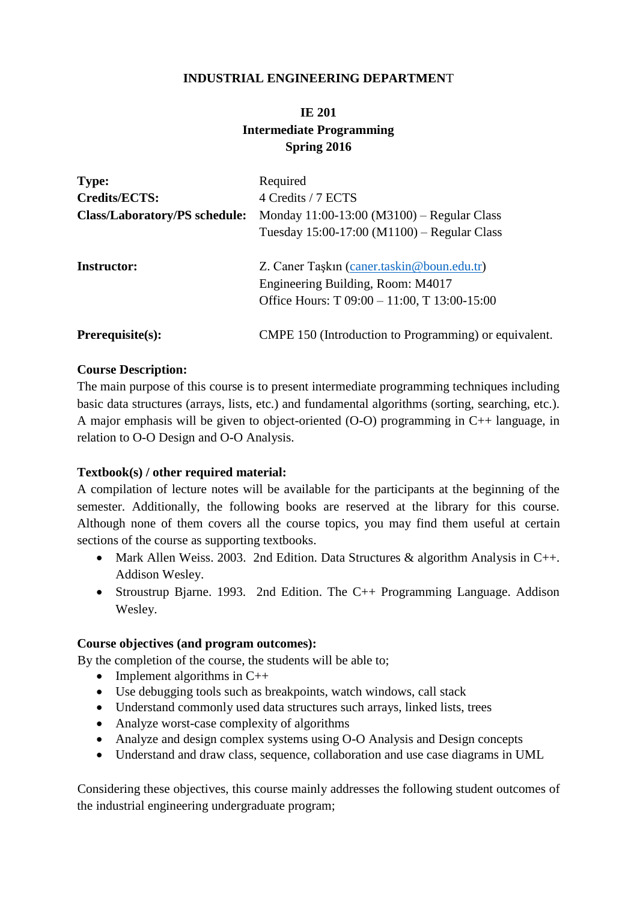## **INDUSTRIAL ENGINEERING DEPARTMEN**T

# **IE 201 Intermediate Programming Spring 2016**

| <b>Type:</b><br><b>Credits/ECTS:</b><br><b>Class/Laboratory/PS schedule:</b> | Required<br>4 Credits / 7 ECTS<br>Monday 11:00-13:00 (M3100) – Regular Class<br>Tuesday $15:00-17:00 \ (M1100)$ – Regular Class              |
|------------------------------------------------------------------------------|----------------------------------------------------------------------------------------------------------------------------------------------|
| <b>Instructor:</b>                                                           | Z. Caner Taşkın (caner.taskin@boun.edu.tr)<br>Engineering Building, Room: M4017<br>Office Hours: $T \, 09:00 - 11:00$ , $T \, 13:00 - 15:00$ |
| $Prerequisite(s):$                                                           | CMPE 150 (Introduction to Programming) or equivalent.                                                                                        |

## **Course Description:**

The main purpose of this course is to present intermediate programming techniques including basic data structures (arrays, lists, etc.) and fundamental algorithms (sorting, searching, etc.). A major emphasis will be given to object-oriented (O-O) programming in C++ language, in relation to O-O Design and O-O Analysis.

## **Textbook(s) / other required material:**

A compilation of lecture notes will be available for the participants at the beginning of the semester. Additionally, the following books are reserved at the library for this course. Although none of them covers all the course topics, you may find them useful at certain sections of the course as supporting textbooks.

- Mark Allen Weiss. 2003. 2nd Edition. Data Structures & algorithm Analysis in C++. Addison Wesley.
- Stroustrup Bjarne. 1993. 2nd Edition. The C++ Programming Language. Addison Wesley.

#### **Course objectives (and program outcomes):**

By the completion of the course, the students will be able to;

- Implement algorithms in  $C++$
- Use debugging tools such as breakpoints, watch windows, call stack
- Understand commonly used data structures such arrays, linked lists, trees
- Analyze worst-case complexity of algorithms
- Analyze and design complex systems using O-O Analysis and Design concepts
- Understand and draw class, sequence, collaboration and use case diagrams in UML

Considering these objectives, this course mainly addresses the following student outcomes of the industrial engineering undergraduate program;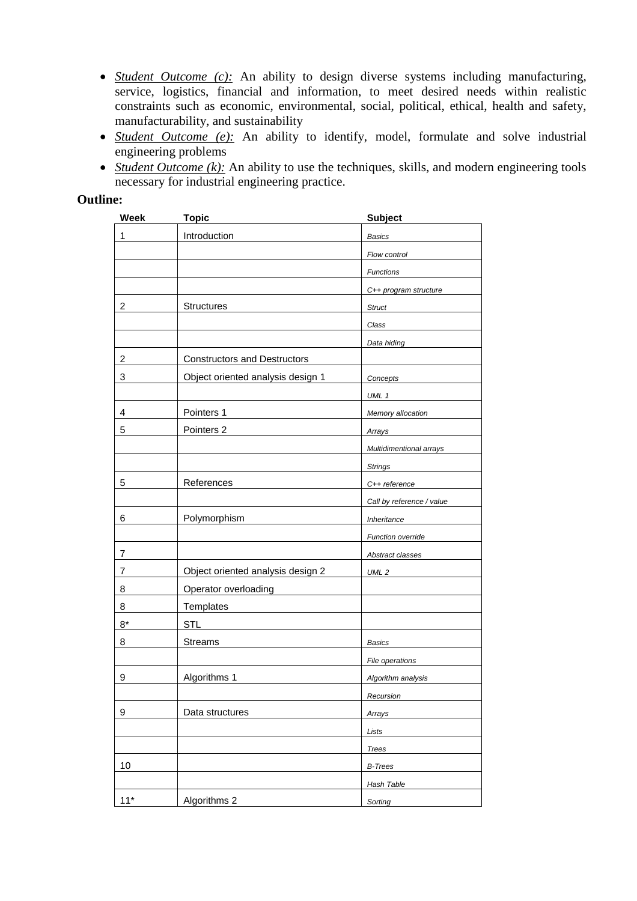- *Student Outcome (c):* An ability to design diverse systems including manufacturing, service, logistics, financial and information, to meet desired needs within realistic constraints such as economic, environmental, social, political, ethical, health and safety, manufacturability, and sustainability
- *Student Outcome (e):* An ability to identify, model, formulate and solve industrial engineering problems
- *Student Outcome (k):* An ability to use the techniques, skills, and modern engineering tools necessary for industrial engineering practice.

## **Outline:**

| <b>Week</b> | <b>Topic</b>                        | <b>Subject</b>                 |
|-------------|-------------------------------------|--------------------------------|
| 1           | Introduction                        | <b>Basics</b>                  |
|             |                                     | Flow control                   |
|             |                                     | Functions                      |
|             |                                     | C++ program structure          |
| 2           | <b>Structures</b>                   | <b>Struct</b>                  |
|             |                                     | Class                          |
|             |                                     | Data hiding                    |
| 2           | <b>Constructors and Destructors</b> |                                |
| 3           | Object oriented analysis design 1   | Concepts                       |
|             |                                     | UML 1                          |
| 4           | Pointers 1                          | Memory allocation              |
| 5           | Pointers 2                          | Arrays                         |
|             |                                     | <b>Multidimentional arrays</b> |
|             |                                     | <b>Strings</b>                 |
| 5           | References                          | C++ reference                  |
|             |                                     | Call by reference / value      |
| 6           | Polymorphism                        | Inheritance                    |
|             |                                     | Function override              |
| 7           |                                     | Abstract classes               |
| 7           | Object oriented analysis design 2   | UML <sub>2</sub>               |
| 8           | Operator overloading                |                                |
| 8           | Templates                           |                                |
| $8*$        | <b>STL</b>                          |                                |
| 8           | <b>Streams</b>                      | Basics                         |
|             |                                     | File operations                |
| 9           | Algorithms 1                        | Algorithm analysis             |
|             |                                     | Recursion                      |
| 9           | Data structures                     | Arrays                         |
|             |                                     | Lists                          |
|             |                                     | <b>Trees</b>                   |
| 10          |                                     | <b>B-Trees</b>                 |
|             |                                     | <b>Hash Table</b>              |
| $11*$       | Algorithms 2                        | Sorting                        |